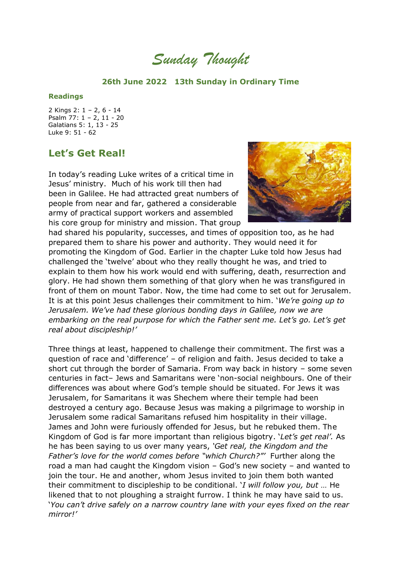*Sunday Thought*

## **26th June 2022 13th Sunday in Ordinary Time**

## **Readings**

2 Kings 2: 1 – 2, 6 - 14 Psalm 77: 1 – 2, 11 - 20 Galatians 5: 1, 13 - 25 Luke 9: 51 - 62

## **Let's Get Real!**

In today's reading Luke writes of a critical time in Jesus' ministry. Much of his work till then had been in Galilee. He had attracted great numbers of people from near and far, gathered a considerable army of practical support workers and assembled his core group for ministry and mission. That group



had shared his popularity, successes, and times of opposition too, as he had prepared them to share his power and authority. They would need it for promoting the Kingdom of God. Earlier in the chapter Luke told how Jesus had challenged the 'twelve' about who they really thought he was, and tried to explain to them how his work would end with suffering, death, resurrection and glory. He had shown them something of that glory when he was transfigured in front of them on mount Tabor. Now, the time had come to set out for Jerusalem. It is at this point Jesus challenges their commitment to him. '*We're going up to Jerusalem. We've had these glorious bonding days in Galilee, now we are embarking on the real purpose for which the Father sent me. Let's go. Let's get real about discipleship!'*

Three things at least, happened to challenge their commitment. The first was a question of race and 'difference' – of religion and faith. Jesus decided to take a short cut through the border of Samaria. From way back in history – some seven centuries in fact– Jews and Samaritans were 'non-social neighbours. One of their differences was about where God's temple should be situated. For Jews it was Jerusalem, for Samaritans it was Shechem where their temple had been destroyed a century ago. Because Jesus was making a pilgrimage to worship in Jerusalem some radical Samaritans refused him hospitality in their village. James and John were furiously offended for Jesus, but he rebuked them. The Kingdom of God is far more important than religious bigotry. '*Let's get real'.* As he has been saying to us over many years, *'Get real, the Kingdom and the Father's love for the world comes before "which Church?"'* Further along the road a man had caught the Kingdom vision – God's new society – and wanted to join the tour. He and another, whom Jesus invited to join them both wanted their commitment to discipleship to be conditional. '*I will follow you, but …* He likened that to not ploughing a straight furrow. I think he may have said to us. '*You can't drive safely on a narrow country lane with your eyes fixed on the rear mirror!'*